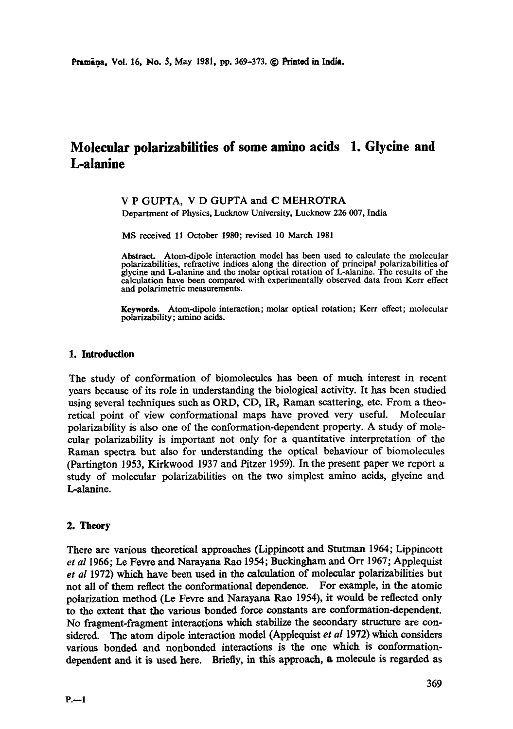# **Molecular polarizabilities of some amino acids 1. Glycine and L-alanine**

### V P GUPTA, V D GUPTA and C MEHROTRA

Department of Physics, Lucknow University, Lucknow 226 007, India

MS received 11 October 1980; revised 10 March 1981

**Abstract.** Atom-dipole interaction model has been used to calculate the molecular polarizabilities, refractive indices along the direction of principal polarizabilities of glycinc and L-alanine and the molar optical rotation of L-alanine. The results of the calculation have been compared with experimentally observed data from Kerr effect and polarimetric measurements.

**Keywords.** Atom-dipole interaction; molar optical rotation; Kerr effect; molecular polarizability; amino acids.

#### **1. Introduction**

The study of conformation of biomolecules has been of much interest in recent years because of its role in understanding the biological activity. It has been studied using several techniques such as ORD, CD, IR, Raman scattering, etc. From a theoretical point of view conformational maps have proved very useful. Molecular polarizability is also one of the conformation-dependent property. A study of molecular polarizability is important not only for a quantitative interpretation of the Raman spectra but also for understanding the optical behaviour of biomolecules (Partington 1953, Kirkwood 1937 and Pitzer 1959). In the present paper we report a study of molecular polarizabilities on the two simplest amino acids, glycine and L-alanine.

### **2. Theory**

There are various theoretical approaches (Lippincott and Stutman 1964; Lippincott *et al* 1966; Le Fevre and Narayana Rao 1954; Buckingham and Orr 1967; Applequist et al 1972) which have been used in the calculation of molecular polarizabilities but not all of them reflect the conformational dependence. For example, in the atomic polarization method (Le Fevre and Narayana Rao 1954), it would be reflected only to the extent that the various bonded force constants are conformation-dependent. No fragment-fragment interactions which stabilize the secondary structure are considered. The atom dipole interaction model (Applequist *et al* 1972) which considers various bonded and nonbonded interactions is the one which is conformationdependent and it is used here. Briefly, in this approach, a molecule is regarded as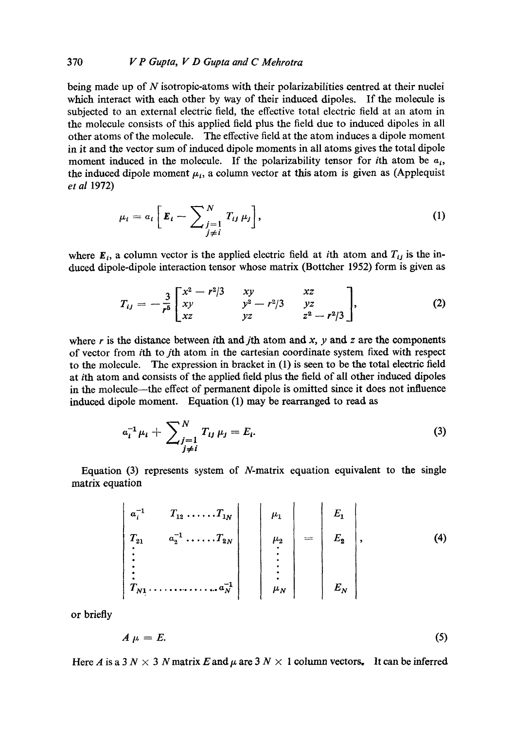being made up of N isotropic-atoms with their polarizabilities centred at their nuclei which interact with each other by Way of their induced dipoles. If the molecule is subjected to an external electric field, the effective total electric field at an atom in the molecule consists of this applied field plus the field due to induced dipoles in all other atoms of the molecule. The effective field at the atom induces a dipole moment in it and the vector sum of induced dipole moments in all atoms gives the total dipole moment induced in the molecule. If the polarizability tensor for *i*th atom be  $a_i$ , the induced dipole moment  $\mu_i$ , a column vector at this atom is given as (Applequist *et al* 1972)

$$
\mu_i = a_i \left[ \mathbf{E}_i - \sum_{\substack{j=1 \ j \neq i}}^N T_{ij} \mu_j \right], \tag{1}
$$

where  $\mathbf{E}_i$ , a column vector is the applied electric field at *i*th atom and  $T_{ij}$  is the induced dipole-dipole interaction tensor whose matrix (Bottcher 1952) form is given as

$$
T_{ij} = -\frac{3}{r^5} \begin{bmatrix} x^2 - r^2/3 & xy & xz \\ xy & y^2 - r^2/3 & yz \\ xz & yz & z^2 - r^2/3 \end{bmatrix},
$$
 (2)

where r is the distance between ith and jth atom and  $x$ ,  $y$  and  $z$  are the components of vector from ith to jth atom in the cartesian coordinate system fixed with respect to the molecule. The expression in bracket in (1) is seen to be the total electric field at ith atom and consists of the applied field plus the field of all other induced dipoles in the molecule—the effect of permanent dipole is omitted since it does not influence induced dipole moment. Equation (1) may be rearranged to read as

$$
a_i^{-1} \mu_i + \sum_{\substack{j=1 \ j \neq i}}^N T_{ij} \mu_j = E_i.
$$
 (3)

Equation  $(3)$  represents system of *N*-matrix equation equivalent to the single matrix equation

$$
\begin{vmatrix} a_1^{-1} & T_{12} & \cdots & T_{1N} \\ T_{21} & a_2^{-1} & \cdots & T_{2N} \\ \vdots & \vdots & \ddots & \vdots \\ T_{N1} & \cdots & \cdots & \cdots & A_N^{-1} \end{vmatrix} = \begin{vmatrix} \mu_1 \\ \mu_2 \\ \vdots \\ \mu_N \end{vmatrix} = \begin{vmatrix} E_1 \\ E_2 \\ \vdots \\ E_N \end{vmatrix}, \qquad (4)
$$

or briefly

$$
A \mu = E. \tag{5}
$$

Here A is a 3  $N \times 3 N$  matrix E and  $\mu$  are 3  $N \times 1$  column vectors. It can be inferred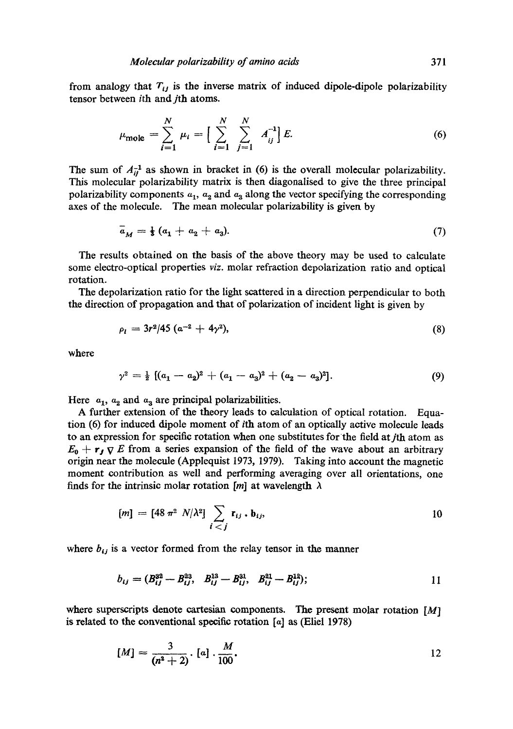from analogy that  $T_{ij}$  is the inverse matrix of induced dipole-dipole polarizability tensor between ith and jth atoms.

$$
\mu_{\text{mole}} = \sum_{i=1}^{N} \mu_i = \left[ \sum_{i=1}^{N} \sum_{j=1}^{N} A_{ij}^{-1} \right] E. \tag{6}
$$

The sum of  $A_{ii}^{-1}$  as shown in bracket in (6) is the overall molecular polarizability. This molecular polarizability matrix is then diagonalised to give the three principal polarizability components  $a_1$ ,  $a_2$  and  $a_3$  along the vector specifying the corresponding axes of the molecule. The mean molecular polarizability is given by

$$
\bar{a}_M = \frac{1}{3} (a_1 + a_2 + a_3). \tag{7}
$$

The results obtained on the basis of the above theory may be used to calculate some dectro-optical properties *viz.* molar refraction depolarization ratio and optical rotation.

The depolarization ratio for the light scattered in a direction perpendicular to both the direction of propagation and that of polarization of incident light is given by

$$
\rho_l = 3r^2/45 (a^{-2} + 4\gamma^2), \tag{8}
$$

where

$$
\gamma^2 = \frac{1}{2} \left[ (a_1 - a_2)^2 + (a_1 - a_3)^2 + (a_2 - a_3)^2 \right]. \tag{9}
$$

Here  $a_1$ ,  $a_2$  and  $a_3$  are principal polarizabilities.

A further extension of the theory leads to calculation of optical rotation. Equation (6) for induced dipole moment of ith atom of an optically active molecule leads to an expression for specific rotation when one substitutes for the field atjth atom as  $E_0 + r_J \nabla$  E from a series expansion of the field of the wave about an arbitrary origin near the molecule (Applequist 1973, 1979). Taking into account the magnetic moment contribution as well and performing averaging over all orientations, one finds for the intrinsic molar rotation [m] at wavelength  $\lambda$ 

$$
[m] = [48 \pi^2 \ N/\lambda^2] \sum_{i < j} \mathbf{r}_{ij} \cdot \mathbf{b}_{ij}, \qquad \qquad 10
$$

where  $b_{ij}$  is a vector formed from the relay tensor in the manner

$$
b_{ij} = (B_{ij}^{32} - B_{ij}^{23}, \quad B_{ij}^{13} - B_{ij}^{31}, \quad B_{ij}^{21} - B_{ij}^{12}); \tag{1}
$$

where superscripts denote cartesian components. The present molar rotation  $[M]$ is related to the conventional specific rotation  $[a]$  as (Eliel 1978)

$$
[M] = \frac{3}{(n^2+2)} \cdot [a] \cdot \frac{M}{100}.
$$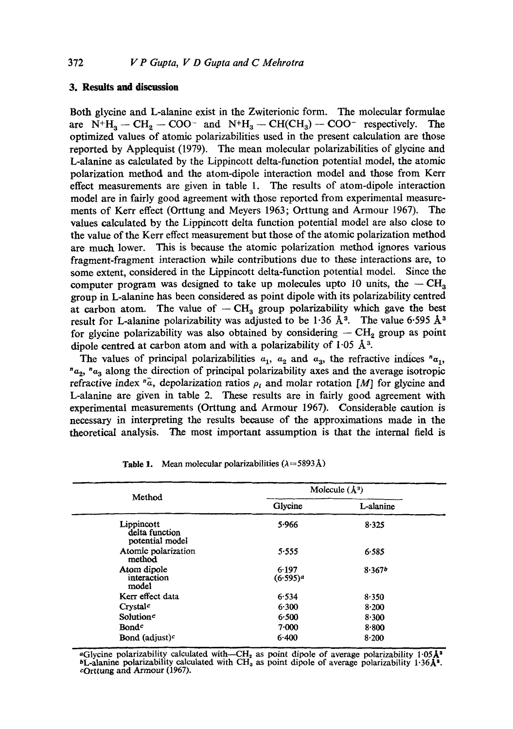## **3. Results and discussion**

Both glycine and L-alanine exist in the Zwiterionic form. The molecular formulae are  $N^+H_3 - CH_2 - COO^-$  and  $N^+H_3 - CH(CH_3) - COO^-$  respectively. The optimized values of atomic polarizabilities used in the present calculation are those reported by Applequist (1979). The mean molecular polarizabilities of glycine and L-alanine as calculated by the Lippincott delta-function potential model, the atomic polarization method and the atom-dipole interaction model and those from Kerr effect measurements are given in table 1. The results of atom-dipole interaction model are in fairly good agreement with those reported from experimental measurements of Kerr effect (Orttung and Meyers 1963; Orttung and Armour 1967). The values calculated by the Lippincott delta function potential model are also close to the value of the Kerr effect measurement but those of the atomic polarization method are much lower. This is because the atomic polarization method ignores various fragment-fragment interaction while contributions due to these interactions are, to some extent, considered in the Lippincott delta-function potential model. Since the computer program was designed to take up molecules upto 10 units, the  $-CH<sub>a</sub>$ group in L-alanine has been considered as point dipole with its polarizability centred at carbon atom. The value of  $-CH_3$  group polarizability which gave the best result for L-alanine polarizability was adjusted to be 1.36 Å<sup>3</sup>. The value 6.595 Å<sup>3</sup> for glycine polarizability was also obtained by considering  $- \text{CH}_2$  group as point dipole centred at carbon atom and with a polarizability of  $1.05 \text{ Å}^3$ .

The values of principal polarizabilities  $a_1$ ,  $a_2$  and  $a_3$ , the refractive indices " $a_1$ ,  $a_{2}$ ,  $a_{3}$  along the direction of principal polarizability axes and the average isotropic refractive index  $\bar{a}$ , depolarization ratios  $\rho_i$  and molar rotation [M] for glycine and L-alanine are given in table 2. These results are in fairly good agreement with experimental measurements (Orttung and Armour 1967). Considerable caution is necessary in interpreting the results because of the approximations made in the theoretical analysis. The most important assumption is that the internal field is

| Method                                          | Molecule $(\dot{A}^3)$ |           |
|-------------------------------------------------|------------------------|-----------|
|                                                 | Glycine                | L-alanine |
| Lippincott<br>delta function<br>potential model | 5.966                  | 8.325     |
| Atomic polarization<br>method                   | 5.555                  | 6.585     |
| Atom dipole<br>interaction<br>model             | 6.197<br>$(6.595)^{a}$ | 8.367b    |
| Kerr effect data                                | 6.534                  | 8.350     |
| Crystal <sup>c</sup>                            | 6.300                  | 8.200     |
| Solution <sup>c</sup>                           | 6.500                  | 8.300     |
| <b>Bond</b> <sup>c</sup>                        | 7.000                  | 8.800     |
| <b>Bond</b> (adjust) <sup>c</sup>               | 6.400                  | 8.200     |

**Table 1.** Mean molecular polarizabilities  $(\lambda = 5893 \text{ Å})$ 

aGlycine polarizability calculated with—CH<sub>2</sub> as point dipole of average polarizability 1.05 $\mathbf{A}^3$  $bL$ -alanine polarizability calculated with CH<sub>3</sub> as point dipole of average polarizability 1.36 $\AA$ <sup>3</sup>. cOrttung and Armour (1967).